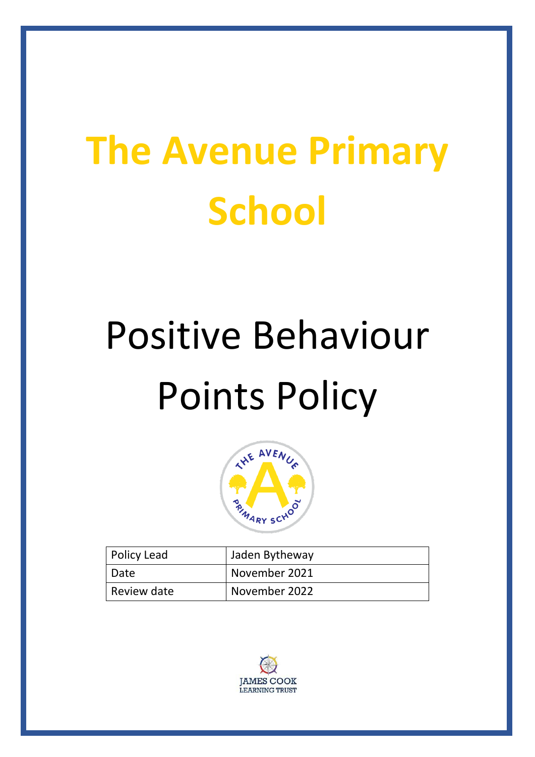## **The Avenue Primary School**

# Positive Behaviour Points Policy



| Policy Lead | Jaden Bytheway |
|-------------|----------------|
| Date        | November 2021  |
| Review date | November 2022  |

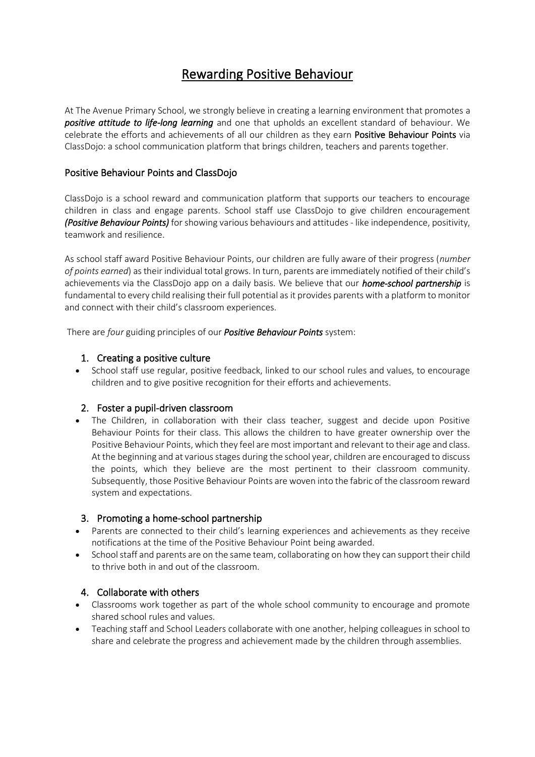## Rewarding Positive Behaviour

At The Avenue Primary School, we strongly believe in creating a learning environment that promotes a *positive attitude to life-long learning* and one that upholds an excellent standard of behaviour. We celebrate the efforts and achievements of all our children as they earn Positive Behaviour Points via ClassDojo: a school communication platform that brings children, teachers and parents together.

#### Positive Behaviour Points and ClassDojo

ClassDojo is a school reward and communication platform that supports our teachers to encourage children in class and engage parents. School staff use ClassDojo to give children encouragement *(Positive Behaviour Points)* for showing various behaviours and attitudes - like independence, positivity, teamwork and resilience.

As school staff award Positive Behaviour Points, our children are fully aware of their progress (*number of points earned*) as their individual total grows. In turn, parents are immediately notified of their child's achievements via the ClassDojo app on a daily basis. We believe that our *home-school partnership* is fundamental to every child realising their full potential as it provides parents with a platform to monitor and connect with their child's classroom experiences.

There are *four* guiding principles of our *Positive Behaviour Points* system:

#### 1. Creating a positive culture

• School staff use regular, positive feedback, linked to our school rules and values, to encourage children and to give positive recognition for their efforts and achievements.

#### 2. Foster a pupil-driven classroom

• The Children, in collaboration with their class teacher, suggest and decide upon Positive Behaviour Points for their class. This allows the children to have greater ownership over the Positive Behaviour Points, which they feel are most important and relevant to their age and class. At the beginning and at various stages during the school year, children are encouraged to discuss the points, which they believe are the most pertinent to their classroom community. Subsequently, those Positive Behaviour Points are woven into the fabric of the classroom reward system and expectations.

#### 3. Promoting a home-school partnership

- Parents are connected to their child's learning experiences and achievements as they receive notifications at the time of the Positive Behaviour Point being awarded.
- School staff and parents are on the same team, collaborating on how they can support their child to thrive both in and out of the classroom.

#### 4. Collaborate with others

- Classrooms work together as part of the whole school community to encourage and promote shared school rules and values.
- Teaching staff and School Leaders collaborate with one another, helping colleagues in school to share and celebrate the progress and achievement made by the children through assemblies.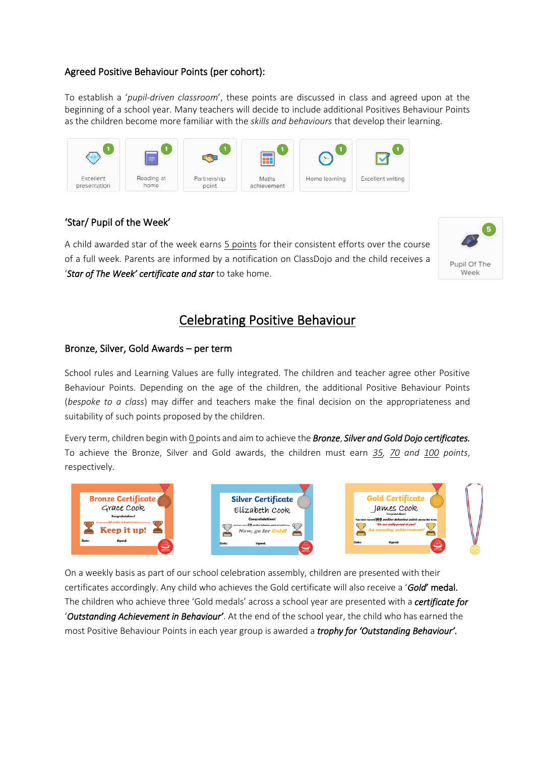#### Agreed Positive Behaviour Points (per cohort):

To establish a '*pupil-driven classroom*', these points are discussed in class and agreed upon at the beginning of a school year. Many teachers will decide to include additional Positives Behaviour Points as the children become more familiar with the *skills and behaviours* that develop their learning.



#### 'Star/ Pupil of the Week'

A child awarded star of the week earns 5 points for their consistent efforts over the course of a full week. Parents are informed by a notification on ClassDojo and the child receives a '*Star of The Week' certificate and star* to take home.



### Celebrating Positive Behaviour

#### Bronze, Silver, Gold Awards – per term

School rules and Learning Values are fully integrated. The children and teacher agree other Positive Behaviour Points. Depending on the age of the children, the additional Positive Behaviour Points (*bespoke to a class*) may differ and teachers make the final decision on the appropriateness and suitability of such points proposed by the children.

Every term, children begin with 0 points and aim to achieve the *Bronze*, *Silver and Gold Dojo certificates.* To achieve the Bronze, Silver and Gold awards, the children must earn *35, 70 and 100 points*, respectively.







On a weekly basis as part of our school celebration assembly, children are presented with their certificates accordingly. Any child who achieves the Gold certificate will also receive a '*Gold*' medal. The children who achieve three 'Gold medals' across a school year are presented with a *certificate for* '*Outstanding Achievement in Behaviour'*. At the end of the school year, the child who has earned the most Positive Behaviour Points in each year group is awarded a *trophy for 'Outstanding Behaviour'.*